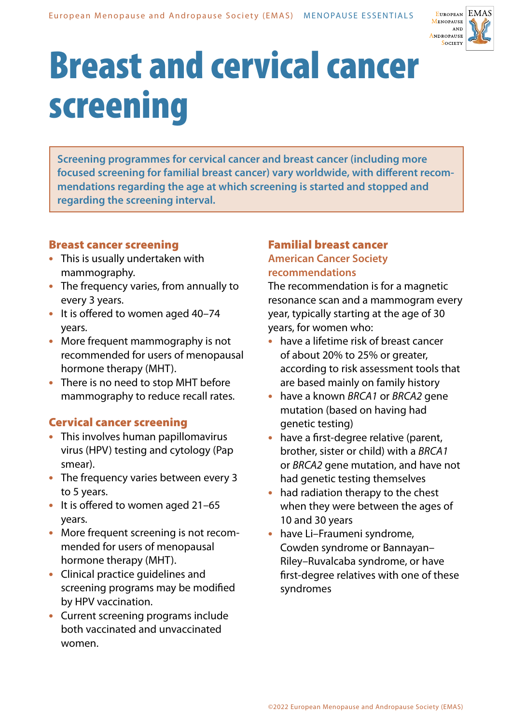

# Breast and cervical cancer screening

**Screening programmes for cervical cancer and breast cancer (including more focused screening for familial breast cancer) vary worldwide, with different recommendations regarding the age at which screening is started and stopped and regarding the screening interval.**

### Breast cancer screening

- **•** This is usually undertaken with mammography.
- **•** The frequency varies, from annually to every 3 years.
- **•** It is offered to women aged 40–74 years.
- **•** More frequent mammography is not recommended for users of menopausal hormone therapy (MHT).
- **•** There is no need to stop MHT before mammography to reduce recall rates.

### Cervical cancer screening

- **•** This involves human papillomavirus virus (HPV) testing and cytology (Pap smear).
- **•** The frequency varies between every 3 to 5 years.
- **•** It is offered to women aged 21–65 years.
- **•** More frequent screening is not recommended for users of menopausal hormone therapy (MHT).
- **•** Clinical practice guidelines and screening programs may be modified by HPV vaccination.
- **•** Current screening programs include both vaccinated and unvaccinated women.

#### Familial breast cancer **American Cancer Society**

## **recommendations**

The recommendation is for a magnetic resonance scan and a mammogram every year, typically starting at the age of 30 years, for women who:

- **•** have a lifetime risk of breast cancer of about 20% to 25% or greater, according to risk assessment tools that are based mainly on family history
- **•** have a known *BRCA1* or *BRCA2* gene mutation (based on having had genetic testing)
- **•** have a first-degree relative (parent, brother, sister or child) with a *BRCA1* or *BRCA2* gene mutation, and have not had genetic testing themselves
- **•** had radiation therapy to the chest when they were between the ages of 10 and 30 years
- **•** have Li–Fraumeni syndrome, Cowden syndrome or Bannayan– Riley–Ruvalcaba syndrome, or have first-degree relatives with one of these syndromes